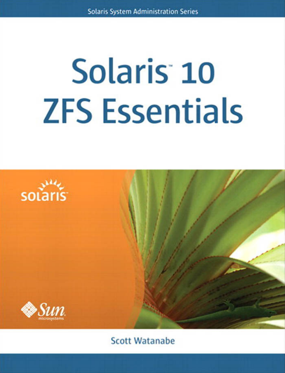# **Solaris 10 ZFS Essentials**



**Scott Watanabe**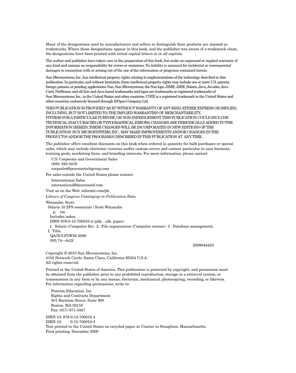Many of the designations used by manufacturers and sellers to distinguish their products are claimed as trademarks. Where those designations appear in this book, and the publisher was aware of a trademark claim, the designations have been printed with initial capital letters or in all capitals.

The author and publisher have taken care in the preparation of this book, but make no expressed or implied warranty of any kind and assume no responsibility for errors or omissions. No liability is assumed for incidental or consequential damages in connection with or arising out of the use of the information or programs contained herein.

Sun Microsystems, Inc., has intellectual property rights relating to implementations of the technology described in this publication. In particular, and without limitation, these intellectual property rights may include one or more U.S. patents, foreign patents, or pending applications. Sun, Sun Microsystems, the Sun logo, J2ME, J2EE, Solaris, Java, Javadoc, Java Card, NetBeans, and all Sun and Java based trademarks and logos are trademarks or registered trademarks of Sun Microsystems, Inc., in the United States and other countries. UNIX is a registered trademark in the United States and other countries, exclusively licensed through X/Open Company, Ltd.

THIS PUBLICATION IS PROVIDED "AS IS" WITHOUT WARRANTY OF ANY KIND, EITHER EXPRESS OR IMPLIED, INCLUDING, BUT NOT LIMITED TO, THE IMPLIED WARRANTIES OF MERCHANTABILITY, FITNESS FOR A PARTICULAR PURPOSE, OR NON-INFRINGEMENT. THIS PUBLICATION COULD INCLUDE TECHNICAL INACCURACIES OR TYPOGRAPHICAL ERRORS. CHANGES ARE PERIODICALLY ADDED TO THE INFORMATION HEREIN; THESE CHANGES WILL BE INCORPORATED IN NEW EDITIONS OF THE PUBLICATION. SUN MICROSYSTEMS, INC., MAY MAKE IMPROVEMENTS AND/OR CHANGES IN THE PRODUCT(S) AND/OR THE PROGRAM(S) DESCRIBED IN THIS PUBLICATION AT ANY TIME.

The publisher offers excellent discounts on this book when ordered in quantity for bulk purchases or special sales, which may include electronic versions and/or custom covers and content particular to your business, training goals, marketing focus, and branding interests. For more information, please contact:

U.S. Corporate and Government Sales (800) 382-3419 corpsales@pearsontechgroup.com

For sales outside the United States please contact:

International Sales international@pearsoned.com

Visit us on the Web: informit.com/ph

*Library of Congress Cataloging-in-Publication Data*

Watanabe, Scott.

Solaris 10 ZFS essentials / Scott Watanabe.

 p. cm. Includes index. ISBN 978-0-13-700010-4 (pbk. : alk. paper) 1. Solaris (Computer file) 2. File organization (Computer science) 3. Database management. I. Title. QA76.9.F5W38 2009 005.74—dc22

2009044423

Copyright © 2010 Sun Microsystems, Inc. 4150 Network Circle, Santa Clara, California 95054 U.S.A. All rights reserved.

Printed in the United States of America. This publication is protected by copyright, and permission must be obtained from the publisher prior to any prohibited reproduction, storage in a retrieval system, or transmission in any form or by any means, electronic, mechanical, photocopying, recording, or likewise. For information regarding permissions, write to:

 Pearson Education, Inc. Rights and Contracts Department 501 Boylston Street, Suite 900 Boston, MA 02116 Fax: (617) 671-3447

ISBN-13: 978-0-13-700010-4 ISBN-10: 0-13-700010-3 Text printed in the United States on recycled paper at Courier in Stoughton, Massachusetts. First printing, December 2009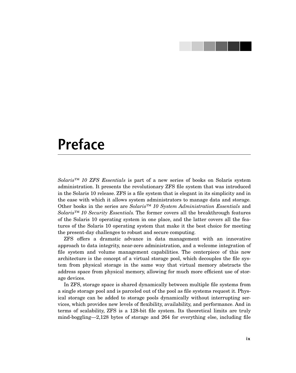# **Preface**

*Solaris™ 10 ZFS Essentials* is part of a new series of books on Solaris system administration. It presents the revolutionary ZFS file system that was introduced in the Solaris 10 release. ZFS is a file system that is elegant in its simplicity and in the ease with which it allows system administrators to manage data and storage. Other books in the series are *Solaris™ 10 System Administration Essentials* and *Solaris™ 10 Security Essentials.* The former covers all the breakthrough features of the Solaris 10 operating system in one place, and the latter covers all the features of the Solaris 10 operating system that make it the best choice for meeting the present-day challenges to robust and secure computing.

ZFS offers a dramatic advance in data management with an innovative approach to data integrity, near-zero administration, and a welcome integration of file system and volume management capabilities. The centerpiece of this new architecture is the concept of a virtual storage pool, which decouples the file system from physical storage in the same way that virtual memory abstracts the address space from physical memory, allowing for much more efficient use of storage devices.

In ZFS, storage space is shared dynamically between multiple file systems from a single storage pool and is parceled out of the pool as file systems request it. Physical storage can be added to storage pools dynamically without interrupting services, which provides new levels of flexibility, availability, and performance. And in terms of scalability, ZFS is a 128-bit file system. Its theoretical limits are truly mind-boggling—2,128 bytes of storage and 264 for everything else, including file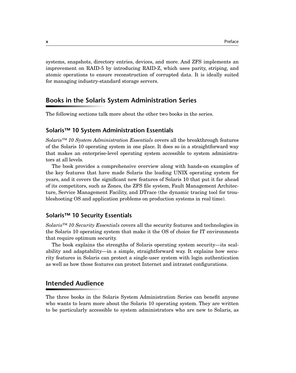systems, snapshots, directory entries, devices, and more. And ZFS implements an improvement on RAID-5 by introducing RAID-Z, which uses parity, striping, and atomic operations to ensure reconstruction of corrupted data. It is ideally suited for managing industry-standard storage servers.

## **Books in the Solaris System Administration Series**

The following sections talk more about the other two books in the series.

### **Solaris™ 10 System Administration Essentials**

*Solaris™ 10 System Administration Essentials* covers all the breakthrough features of the Solaris 10 operating system in one place. It does so in a straightforward way that makes an enterprise-level operating system accessible to system administrators at all levels.

The book provides a comprehensive overview along with hands-on examples of the key features that have made Solaris the leading UNIX operating system for years, and it covers the significant new features of Solaris 10 that put it far ahead of its competitors, such as Zones, the ZFS file system, Fault Management Architecture, Service Management Facility, and DTrace (the dynamic tracing tool for troubleshooting OS and application problems on production systems in real time).

## **Solaris™ 10 Security Essentials**

*Solaris™ 10 Security Essentials* covers all the security features and technologies in the Solaris 10 operating system that make it the OS of choice for IT environments that require optimum security.

The book explains the strengths of Solaris operating system security—its scalability and adaptability—in a simple, straightforward way. It explains how security features in Solaris can protect a single-user system with login authentication as well as how those features can protect Internet and intranet configurations.

## **Intended Audience**

The three books in the Solaris System Administration Series can benefit anyone who wants to learn more about the Solaris 10 operating system. They are written to be particularly accessible to system administrators who are new to Solaris, as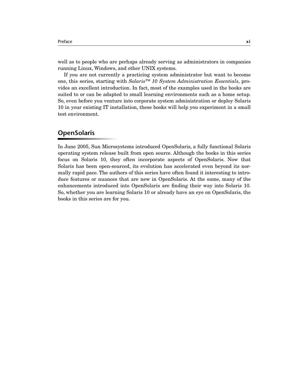well as to people who are perhaps already serving as administrators in companies running Linux, Windows, and other UNIX systems.

If you are not currently a practicing system administrator but want to become one, this series, starting with *Solaris™ 10 System Administration Essentials*, provides an excellent introduction. In fact, most of the examples used in the books are suited to or can be adapted to small learning environments such as a home setup. So, even before you venture into corporate system administration or deploy Solaris 10 in your existing IT installation, these books will help you experiment in a small test environment.

## **OpenSolaris**

In June 2005, Sun Microsystems introduced OpenSolaris, a fully functional Solaris operating system release built from open source. Although the books in this series focus on Solaris 10, they often incorporate aspects of OpenSolaris. Now that Solaris has been open-sourced, its evolution has accelerated even beyond its normally rapid pace. The authors of this series have often found it interesting to introduce features or nuances that are new in OpenSolaris. At the same, many of the enhancements introduced into OpenSolaris are finding their way into Solaris 10. So, whether you are learning Solaris 10 or already have an eye on OpenSolaris, the books in this series are for you.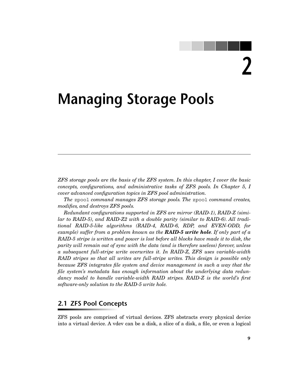**2**

# **Managing Storage Pools**

*ZFS storage pools are the basis of the ZFS system. In this chapter, I cover the basic concepts, configurations, and administrative tasks of ZFS pools. In Chapter 5, I cover advanced configuration topics in ZFS pool administration.*

*The* zpool *command manages ZFS storage pools. The* zpool *command creates, modifies, and destroys ZFS pools.*

*Redundant configurations supported in ZFS are mirror (RAID-1), RAID-Z (similar to RAID-5), and RAID-Z2 with a double parity (similar to RAID-6). All traditional RAID-5-like algorithms (RAID-4, RAID-6, RDP, and EVEN-ODD, for example) suffer from a problem known as the RAID-5 write hole. If only part of a RAID-5 stripe is written and power is lost before all blocks have made it to disk, the parity will remain out of sync with the data (and is therefore useless) forever, unless a subsequent full-stripe write overwrites it. In RAID-Z, ZFS uses variable-width RAID stripes so that all writes are full-stripe writes. This design is possible only because ZFS integrates file system and device management in such a way that the file system's metadata has enough information about the underlying data redundancy model to handle variable-width RAID stripes. RAID-Z is the world's first software-only solution to the RAID-5 write hole.*

## **2.1 ZFS Pool Concepts**

ZFS pools are comprised of virtual devices. ZFS abstracts every physical device into a virtual device. A vdev can be a disk, a slice of a disk, a file, or even a logical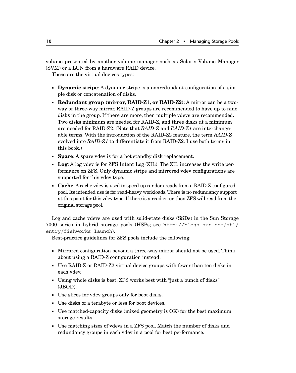volume presented by another volume manager such as Solaris Volume Manager (SVM) or a LUN from a hardware RAID device.

These are the virtual devices types:

- **Dynamic stripe**: A dynamic stripe is a nonredundant configuration of a simple disk or concatenation of disks.
- **Redundant group (mirror, RAID-Z1, or RAID-Z2)**: A mirror can be a twoway or three-way mirror. RAID-Z groups are recommended to have up to nine disks in the group. If there are more, then multiple vdevs are recommended. Two disks minimum are needed for RAID-Z, and three disks at a minimum are needed for RAID-Z2. (Note that *RAID-Z* and *RAID-Z1* are interchangeable terms. With the introduction of the RAID-Z2 feature, the term *RAID-Z* evolved into *RAID-Z1* to differentiate it from RAID-Z2. I use both terms in this book.)
- **Spare**: A spare vdev is for a hot standby disk replacement.
- **Log**: A log vdev is for ZFS Intent Log (ZIL). The ZIL increases the write performance on ZFS. Only dynamic stripe and mirrored vdev configurations are supported for this vdev type.
- **Cache**: A cache vdev is used to speed up random reads from a RAID-Z-configured pool. Its intended use is for read-heavy workloads. There is no redundancy support at this point for this vdev type. If there is a read error, then ZFS will read from the original storage pool.

Log and cache vdevs are used with solid-state disks (SSDs) in the Sun Storage 7000 series in hybrid storage pools (HSPs; see [http://blogs.sun.com/ahl/](http://blogs.sun.com/ahl/entry/fishworks_launch) [entry/fishworks\\_launch](http://blogs.sun.com/ahl/entry/fishworks_launch)).

Best-practice guidelines for ZFS pools include the following:

- Mirrored configuration beyond a three-way mirror should not be used. Think about using a RAID-Z configuration instead.
- Use RAID-Z or RAID-Z2 virtual device groups with fewer than ten disks in each vdev.
- Using whole disks is best. ZFS works best with "just a bunch of disks" (JBOD).
- Use slices for vdev groups only for boot disks.
- Use disks of a terabyte or less for boot devices.
- Use matched-capacity disks (mixed geometry is OK) for the best maximum storage results.
- Use matching sizes of vdevs in a ZFS pool. Match the number of disks and redundancy groups in each vdev in a pool for best performance.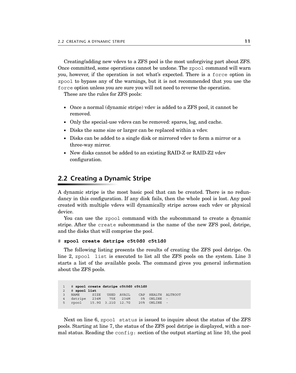Creating/adding new vdevs to a ZFS pool is the most unforgiving part about ZFS. Once committed, some operations cannot be undone. The zpool command will warn you, however, if the operation is not what's expected. There is a force option in zpool to bypass any of the warnings, but it is not recommended that you use the force option unless you are sure you will not need to reverse the operation.

These are the rules for ZFS pools:

- Once a normal (dynamic stripe) vdev is added to a ZFS pool, it cannot be removed.
- Only the special-use vdevs can be removed: spares, log, and cache.
- Disks the same size or larger can be replaced within a vdev.
- Disks can be added to a single disk or mirrored vdev to form a mirror or a three-way mirror.
- New disks cannot be added to an existing RAID-Z or RAID-Z2 vdev configuration.

## **2.2 Creating a Dynamic Stripe**

A dynamic stripe is the most basic pool that can be created. There is no redundancy in this configuration. If any disk fails, then the whole pool is lost. Any pool created with multiple vdevs will dynamically stripe across each vdev or physical device.

You can use the zpool command with the subcommand to create a dynamic stripe. After the create subcommand is the name of the new ZFS pool, dstripe, and the disks that will comprise the pool.

#### # **zpool create dstripe c5t0d0 c5t1d0**

The following listing presents the results of creating the ZFS pool dstripe. On line 2, zpool list is executed to list all the ZFS pools on the system. Line 3 starts a list of the available pools. The command gives you general information about the ZFS pools.

```
1 # zpool create dstripe c5t0d0 c5t1d0
2 # zpool list
3 NAME SIZE USED AVAIL CAP HEALTH ALTROOT<br>4 dstripe 234M 75K 234M 0% ONLINE -
4 dstripe 234M 75K 234M
5 rpool 15.9G 3.21G 12.7G 20% ONLINE
```
Next on line 6, zpool status is issued to inquire about the status of the ZFS pools. Starting at line 7, the status of the ZFS pool dstripe is displayed, with a normal status. Reading the config: section of the output starting at line 10, the pool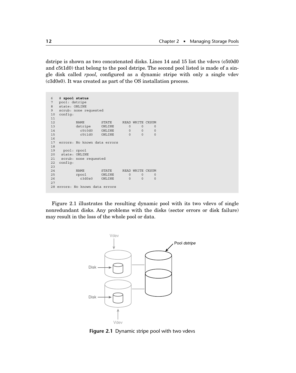dstripe is shown as two concatenated disks. Lines 14 and 15 list the vdevs (c5t0d0 and c5t1d0) that belong to the pool dstripe. The second pool listed is made of a single disk called *rpool,* configured as a dynamic stripe with only a single vdev (c3d0s0). It was created as part of the OS installation process.

| 6   | # zpool status               |        |             |                  |          |  |  |
|-----|------------------------------|--------|-------------|------------------|----------|--|--|
| 7   | pool: dstripe                |        |             |                  |          |  |  |
| 8   | state: ONLINE                |        |             |                  |          |  |  |
| 9   | scrub: none requested        |        |             |                  |          |  |  |
| 10  | config:                      |        |             |                  |          |  |  |
| 11  |                              |        |             |                  |          |  |  |
| 12  | <b>NAME</b>                  | STATE  | <b>READ</b> | WRITE CKSUM      |          |  |  |
| 13  | dstripe                      | ONLINE | $\Omega$    | $\Omega$         | $\Omega$ |  |  |
| 14  | c5t0d0                       | ONLINE | $\Omega$    | 0                | 0        |  |  |
| 15  | c5t1d0                       | ONLINE | $\Omega$    | $\Omega$         | $\Omega$ |  |  |
| 16  |                              |        |             |                  |          |  |  |
| 17  | errors: No known data errors |        |             |                  |          |  |  |
| 18  |                              |        |             |                  |          |  |  |
| 19  | pool: rpool                  |        |             |                  |          |  |  |
| 2.0 | state: ONLINE                |        |             |                  |          |  |  |
| 21  | scrub: none requested        |        |             |                  |          |  |  |
| 22  | config:                      |        |             |                  |          |  |  |
| 2.3 |                              |        |             |                  |          |  |  |
| 24  | <b>NAME</b>                  | STATE  |             | READ WRITE CKSUM |          |  |  |
| 25  | rpool                        | ONLINE | $\Omega$    | $\Omega$         | $\Omega$ |  |  |
| 26  | c3d0s0                       | ONLINE | $\Omega$    | $\Omega$         | $\Omega$ |  |  |
| 2.7 |                              |        |             |                  |          |  |  |
| 28  | errors: No known data errors |        |             |                  |          |  |  |

Figure 2.1 illustrates the resulting dynamic pool with its two vdevs of single nonredundant disks. Any problems with the disks (sector errors or disk failure) may result in the loss of the whole pool or data.



**Figure 2.1** Dynamic stripe pool with two vdevs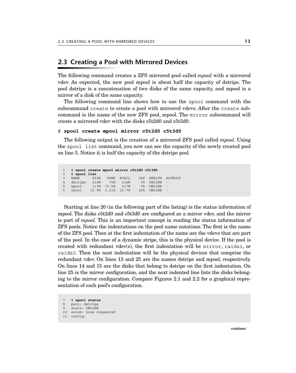## **2.3 Creating a Pool with Mirrored Devices**

The following command creates a ZFS mirrored pool called *mpool* with a mirrored vdev. As expected, the new pool mpool is about half the capacity of dstripe. The pool dstripe is a concatenation of two disks of the same capacity, and mpool is a mirror of a disk of the same capacity.

The following command line shows how to use the zpool command with the subcommand create to create a pool with mirrored vdevs. After the create subcommand is the name of the new ZFS pool, mpool. The mirror subcommand will create a mirrored vdev with the disks c5t2d0 and c5t3d0.

#### # **zpool create mpool mirror c5t2d0 c5t3d0**

The following output is the creation of a mirrored ZFS pool called *mpool*. Using the zpool list command, you now can see the capacity of the newly created pool on line 5. Notice it is half the capacity of the dstripe pool.

```
1 # zpool create mpool mirror c5t2d0 c5t3d0
2 # zpool list
3 NAME SIZE USED AVAIL CAP HEALTH ALTROOT
4 dstripe 234M 75K 234M 0% ONLINE -
5 mpool 117M 73.5K 117M 0% ONLINE -
6 rpool 15.9G 3.21G 12.7G 20% ONLINE -
```
Starting at line 20 (in the following part of the listing) is the status information of mpool. The disks c5t2d0 and c5t3d0 are configured as a mirror vdev, and the mirror is part of *mpool.* This is an important concept in reading the status information of ZFS pools. Notice the indentations on the pool name notations. The first is the name of the ZFS pool. Then at the first indentation of the name are the vdevs that are part of the pool. In the case of a dynamic stripe, this is the physical device. If the pool is created with redundant vdev(s), the first indentation will be mirror, raidz1, or raidz2. Then the next indentation will be the physical devices that comprise the redundant vdev. On lines 13 and 25 are the names dstripe and mpool, respectively. On lines 14 and 15 are the disks that belong to dstripe on the first indentation. On line 25 is the mirror configuration, and the next indented line lists the disks belonging to the mirror configuration. Compare Figures 2.1 and 2.2 for a graphical representation of each pool's configuration.

```
7 # zpool status
8 pool: dstripe
9 state: ONLINE
10 scrub: none requested
11 config:
```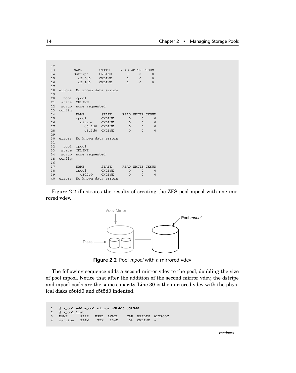```
\begin{array}{c} 12 \\ 13 \end{array}NAME STATE READWRITE CKSUM<br>dstripe ONLINE 0 0
14 dstripe ONLINE 0 0 0<br>15 c5t0d0 ONLINE 0 0 0
15 c5t0d0 ONLINE 0 0 0<br>16 c5t1d0 ONLINE 0 0 0
            c5t1d0 ONLINE
17
18 errors: No known data errors
19<br>20
    pool: mpool
21 state: ONLINE<br>22 scrub: none re
   scrub: none requested
23 config:
           NAME STATE READ WRITE CKSUM<br>mpool ONLINE 0 0 0
25 mpool ONLINE 0 0 0
26 mirror ONLINE 0 0 0
27 c5t2d0 ONLINE 0 0 0
28 c5t3d0 ONLINE 0 0 0
2930 errors: No known data errors
\frac{31}{32}32 pool: rpool
33 state: ONLINE
34 scrub: none requested
35 config:
36<br>37
           NAME STATE READWRITE CKSUM<br>rpool ONLINE 0 0 0
38 rpool ONLINE 0 0 0<br>39 c3d0s0 ONLINE 0 0 0
            pool ONLINE<br>c3d0s0 ONLINE
40 errors: No known data errors
```
Figure 2.2 illustrates the results of creating the ZFS pool mpool with one mirrored vdev.



**Figure 2.2** Pool *mpool* with a mirrored vdev

The following sequence adds a second mirror vdev to the pool, doubling the size of pool mpool. Notice that after the addition of the second mirror vdev, the dstripe and mpool pools are the same capacity. Line 30 is the mirrored vdev with the physical disks c5t4d0 and c5t5d0 indented.

```
1. # zpool add mpool mirror c5t4d0 c5t5d0
2. # zpool list
3. NAME SIZE USED AVAIL CAP HEALTH ALTROOT
4. dstripe 234M 75K 234M 0% ONLINE -
```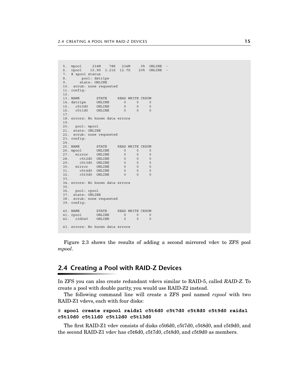```
5. mpool 234M 78K 234M 0% ONLINE -
6. rpool 15.9G 3.21G 12.7G 20% ONLINE -
7. # zpool status
8. pool: dstripe
9. state: ONLINE
10. scrub: none requested
11. config:
12.<br>13. NAME
           STATE READ WRITE CKSUM
14. dstripe ONLINE 0 0 0
15. c5t0d0 ONLINE 0 0 0
16. c5t1d0 ONLINE 0 0 0
17.
18. errors: No known data errors
\frac{19}{20}.
    pool: mpool
21. state: ONLINE
22. scrub: none requested
23. config:
24.
25. NAME STATE READ WRITE CKSUM
26. mpool ONLINE 0 0 0
27. mirror ONLINE 0 0 0
28. c5t2d0 ONLINE 0 0 0
     c5t3d0 ONLINE 0 0 0<br>mirror ONLINE 0 0 0
30. mirror ONLINE 0 0<br>31. c5t4d0 ONLINE 0 0
1. 251410 ONLINE 0 0 0<br>31. c5t4d0 ONLINE 0 0 0<br>32. c5t5d0 ONLINE 0 0 0
      c5t5d0 ONIJNE33.
34. errors: No known data errors
35.
36. pool: rpool
37. state: ONLINE
38. scrub: none requested
39. config:
40. NAME STATE READ WRITE CKSUM
41. rpool ONLINE 0 0 0
42. c3d0s0 ONLINE 0 0 0
43. errors: No known data errors
```
Figure 2.3 shows the results of adding a second mirrored vdev to ZFS pool *mpool*.

## **2.4 Creating a Pool with RAID-Z Devices**

In ZFS you can also create redundant vdevs similar to RAID-5, called *RAID-Z*. To create a pool with double parity, you would use RAID-Z2 instead.

The following command line will create a ZFS pool named *rzpool* with two RAID-Z1 vdevs, each with four disks:

#### # **zpool create rzpool raidz1 c5t6d0 c5t7d0 c5t8d0 c5t9d0 raidz1 c5t10d0 c5t11d0 c5t12d0 c5t13d0**

The first RAID-Z1 vdev consists of disks c5t6d0, c5t7d0, c5t8d0, and c5t9d0, and the second RAID-Z1 vdev has c5t6d0, c5t7d0, c5t8d0, and c5t9d0 as members.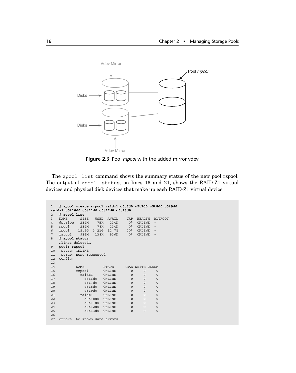

**Figure 2.3** Pool *mpool* with the added mirror vdev

The zpool list command shows the summary status of the new pool rzpool. The output of zpool status, on lines 16 and 21, shows the RAID-Z1 virtual devices and physical disk devices that make up each RAID-Z1 virtual device.

```
1 # zpool create rzpool raidz1 c5t6d0 c5t7d0 c5t8d0 c5t9d0
raidz1 c5t10d0 c5t11d0 c5t12d0 c5t13d0
2 # zpool list
          SIZE USED AVAIL CAP HEALTH ALTROOT<br>234M 75K 234M 0% ONLINE -<br>234M 78K 234M 0% ONLINE -
4 dstripe 234M 75K 234M 0% ONLINE -
5 mpool 234M 78K 234M 0% ONLINE -
6 rpool 15.9G 3.21G 12.7G 20% ONLINE -
           936M 138K 936M
8 # zpool status
  …lines deleted…
9 pool: rzpool
10 state: ONLINE
11 scrub: none requested
12 config:
13
14 NAME STATE READ WRITE CKSUM
15 rzpool ONLINE 0 0 0
16 raidz1 ONLINE 0 0 0
17 c5t6d0 ONLINE 0 0 0<br>18 c5t7d0 ONLINE 0 0 0
18 c5t7d0 ONLINE 0 0 0
19 c5t8d0 ONLINE 0 0 0
20 c5t9d0 ONLINE 0 0 0
21 raidz1 ONLINE 0 0 0<br>22 c5t10d0 ONLINE 0 0 0
22 c5t10d0 ONLINE 0 0 0<br>
23 c5t11d0 ONLINE 0 0 0<br>
24 c5t12d0 ONLINE 0 0 0
            c5t11d0 ONLINE
24 c5t12d0 ONLINE 0 0 0<br>25 c5t13d0 ONLINE 0 0 0
             c5t13d0 ONLINE 0 0 0
26
27 errors: No known data errors
```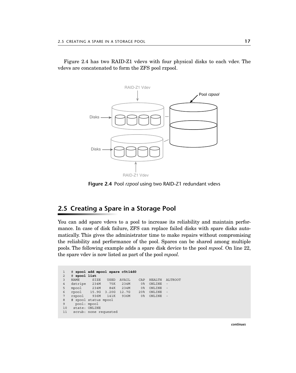Figure 2.4 has two RAID-Z1 vdevs with four physical disks to each vdev. The vdevs are concatenated to form the ZFS pool rzpool.



**Figure 2.4** Pool *rzpool* using two RAID-Z1 redundant vdevs

## **2.5 Creating a Spare in a Storage Pool**

You can add spare vdevs to a pool to increase its reliability and maintain performance. In case of disk failure, ZFS can replace failed disks with spare disks automatically. This gives the administrator time to make repairs without compromising the reliability and performance of the pool. Spares can be shared among multiple pools. The following example adds a spare disk device to the pool *mpool.* On line 22, the spare vdev is now listed as part of the pool *mpool.*

```
1 # zpool add mpool spare c5t14d0
2 # zpool list
                SIZE USED AVAIL CAP HEALTH ALTROOT<br>234M 75K 234M 0% ONLINE -
4 dstripe 234M 75K 234M<br>5 mpool 234M 84K 234M
5 mpool 234M 84K 234M 0% ONLINE<br>6 rpool 15.9G 3.20G 12.7G 20% ONLINE<br>7 rzpool 936M 141K 936M 0% ONLINE
  6 rpool 15.9G 3.20G 12.7G 20% ONLINE -
7 rzpool 936M 141K 936M
8 # zpool status mpool<br>9 pool: mpool
     9 pool: mpool
10 state: ONLINE
11 scrub: none requested
```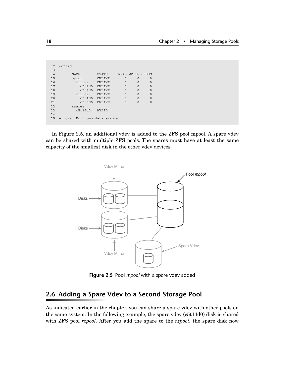| 12   | config:                      |              |             |          |              |
|------|------------------------------|--------------|-------------|----------|--------------|
| 13   |                              |              |             |          |              |
| 14   | <b>NAME</b>                  | <b>STATE</b> | <b>READ</b> | WRITE    | <b>CKSUM</b> |
| 15   | mpool                        | ONLINE       | $\Omega$    | $\Omega$ | 0            |
| 16   | mirror                       | ONLINE       | $\Omega$    | $\Omega$ | 0            |
| 17   | c5t2d0                       | ONLINE       | $\Omega$    | $\Omega$ | $\Omega$     |
| 18   | c5t3d0                       | ONLINE       | $\Omega$    | $\Omega$ | 0            |
| 19   | mirror                       | ONLINE       | $\Omega$    | $\Omega$ | $\circ$      |
| 2.0  | c5t4d0                       | ONLINE       | $\Omega$    | $\Omega$ | $\Omega$     |
| 2.1  | c5t5d0                       | ONLINE       | $\Omega$    | $\Omega$ | $\Omega$     |
| 2.2. | spares                       |              |             |          |              |
| 2.3  | c5t14d0                      | <b>AVAIL</b> |             |          |              |
| 2.4  |                              |              |             |          |              |
| 25   | errors: No known data errors |              |             |          |              |
|      |                              |              |             |          |              |

In Figure 2.5, an additional vdev is added to the ZFS pool mpool. A spare vdev can be shared with multiple ZFS pools. The spares must have at least the same capacity of the smallest disk in the other vdev devices.



**Figure 2.5** Pool *mpool* with a spare vdev added

# **2.6 Adding a Spare Vdev to a Second Storage Pool**

As indicated earlier in the chapter, you can share a spare vdev with other pools on the same system. In the following example, the spare vdev (c5t14d0) disk is shared with ZFS pool *rzpool.* After you add the spare to the *rzpool,* the spare disk now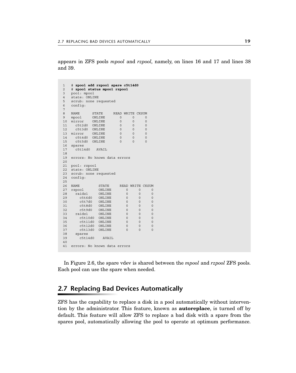appears in ZFS pools *mpool* and *rzpool,* namely, on lines 16 and 17 and lines 38 and 39.

```
1 # zpool add rzpool spare c5t14d0
2 # zpool status mpool rzpool
3 pool: mpool
4 state: ONLINE
5 scrub: none requested
6 config:
7
8 NAME STATE READ WRITE CKSUM
9 mpool ONLINE 0 0 0
9 mpool ONLINE 0 0 0 0<br>10 mirror ONLINE 0 0 0<br>11 c5t2d0 ONLINE 0 0 0
11 c5t2d0 ONLINE 0 0 0
    0 c5t3d0 ONLINE 0 0 0<br>1111000 ONLINE 0 0 0
13 mirror ONLINE 0 0 0<br>14 c5t4d0 ONLINE 0 0 0<br>15 c5t5d0 ONLINE 0 0 0
14 c5t4d0 ONLINE 0 0 0
    c5t5d0 ONLINE
16 spares
17 c5t14d0 AVAIL
18
19 errors: No known data errors
20
21 pool: rzpool
22 state: ONLINE
23 scrub: none requested<br>24 config:
   config:
25<br>26 NAME
26 NAME STATE READ WRITE CKSUM
27 rzpool ONLINE 0 0 0
28 raidz1 ONLINE 0 0 0
29 c5t6d0 ONLINE 0 0 0
30 c5t7d0 ONLINE 0 0 0
31 c5t8d0 ONLINE 0 0 0
32 c5t9d0 ONLINE 0 0 0
   raidz1 ONLINE 0 0 0<br>c5t10d0ONLINE 0 0 0
34 c5t10d0 ONLINE 0 0 0
35 c5t11d0 ONLINE 0 0 0
      c5t12d0 ONLINE
37 c5t13d0 ONLINE 0 0 0
38 spares<br>39 c5t.14
    c5t14d0 AVAIL
4041 errors: No known data errors
```
In Figure 2.6, the spare vdev is shared between the *mpool* and *rzpool* ZFS pools. Each pool can use the spare when needed.

## **2.7 Replacing Bad Devices Automatically**

ZFS has the capability to replace a disk in a pool automatically without intervention by the administrator. This feature, known as **autoreplace**, is turned off by default. This feature will allow ZFS to replace a bad disk with a spare from the spares pool, automatically allowing the pool to operate at optimum performance.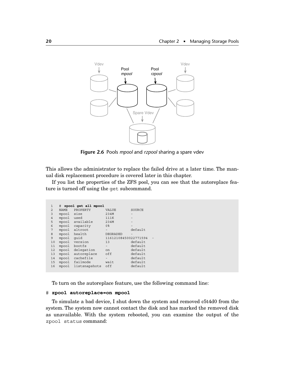

**Figure 2.6** Pools *mpool* and *rzpool* sharing a spare vdev

This allows the administrator to replace the failed drive at a later time. The manual disk replacement procedure is covered later in this chapter.

If you list the properties of the ZFS pool, you can see that the autoreplace feature is turned off using the get subcommand.

| $\mathbf{1}$   | #           | zpool get all mpool |                          |         |  |
|----------------|-------------|---------------------|--------------------------|---------|--|
| $\overline{2}$ | <b>NAME</b> | PROPERTY            | VALUE                    | SOURCE  |  |
| 3              | mpool       | size                | 234M                     |         |  |
| $\overline{4}$ | mpool       | used                | 111K                     |         |  |
| 5              | mpool       | available           | 234M                     |         |  |
| 6              | mpool       | capacity            | 0 <sup>8</sup>           |         |  |
| 7              | mpool       | altroot             | $\overline{\phantom{0}}$ | default |  |
| 8              | mpool       | health              | <b>DEGRADED</b>          |         |  |
| 9              | mpool       | quid                | 11612108450022771594     |         |  |
| 10             | mpool       | version             | 13                       | default |  |
| 11             | mpool       | bootfs              |                          | default |  |
| 12             | mpool       | delegation          | on                       | default |  |
| 13             | mpool       | autoreplace         | off                      | default |  |
| 14             | mpool       | cachefile           | $\overline{\phantom{0}}$ | default |  |
| 15             | mpool       | failmode            | wait                     | default |  |
| 16             | mpool       | listsnapshots       | off                      | default |  |
|                |             |                     |                          |         |  |

To turn on the autoreplace feature, use the following command line:

#### # **zpool autoreplace=on mpool**

To simulate a bad device, I shut down the system and removed c5t4d0 from the system. The system now cannot contact the disk and has marked the removed disk as unavailable. With the system rebooted, you can examine the output of the zpool status command: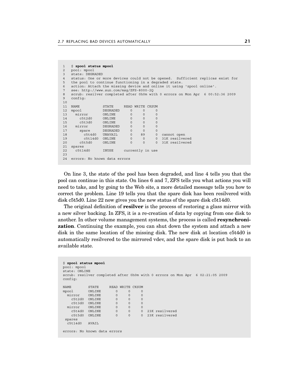```
1 $ zpool status mpool
  2 pool: mpool
3 state: DEGRADED<br>4 status: One or
  4 status: One or more devices could not be opened. Sufficient replicas exist for
5 the pool to continue functioning in a degraded state.
6 action: Attach the missing device and online it using 'zpool online'.
7 see: http://www.sun.com/msg/ZFS-8000-2Q
8 scrub: resilver completed after 0h0m with 0 errors on Mon Apr 6 00:52:36 2009
  config:
10<br>11 NAME
                STATE READ WRITE CKSUM<br>DEGRADED 0 0 0
12 mpool DEGRADED 0 0 0
13 mirror
14 c5t2d0 ONLINE 0 0 0
15 c5t3d0 ONLINE 0 0 0<br>16 mirror DEGRADED 0 0 0<br>17 spare DEGRADED 0 0 0
    mirror DEGRADED 0<br>spare DEGRADED 0
17 spare DEGRADED 0 0 0<br>18 c5t4d0 UNAVAIL 0 89 0 cannot open
18 c5t4d0 UNAVAIL 0 89 0 cannot open
19 c5t14d0 ONLINE 0 0 0 31K resilvered
20 c5t5d0 ONLINE 0 0 0 31K resilvered
21 spares<br>22 c5t14d0
                 INUSE currently in use
23
24 errors: No known data errors
```
On line 3, the state of the pool has been degraded, and line 4 tells you that the pool can continue in this state. On lines 6 and 7, ZFS tells you what actions you will need to take, and by going to the Web site, a more detailed message tells you how to correct the problem. Line 19 tells you that the spare disk has been resilvered with disk c5t5d0. Line 22 now gives you the new status of the spare disk c5t14d0.

The original definition of **resilver** is the process of restoring a glass mirror with a new silver backing. In ZFS, it is a re-creation of data by copying from one disk to another. In other volume management systems, the process is called **resynchronization**. Continuing the example, you can shut down the system and attach a new disk in the same location of the missing disk. The new disk at location c5t4d0 is automatically resilvered to the mirrored vdev, and the spare disk is put back to an available state.

```
$ zpool status mpool
pool: mpool
state: ONLINE
scrub: resilver completed after 0h0m with 0 errors on Mon Apr 6 02:21:05 2009
config:
NAME STATE READ WRITE CKSUM
mpool ONLINE 0 0 0<br>mirror ONLINE 0 0 0
 mirror ONLINE 0 0 0
   c5t2d0 ONLINE 0 0 0
    c5t3d0 ONLINE 0 0 0
 mirror ONLINE 0 0 0<br>
c5t4d0 ONLINE 0 0 0
    c5t4d0 ONLINE 0 0 0 23K resilvered
                                 c5t5d0 ONLINE 0 0 0 23K resilvered
 spares
  c5t14d0 AVAIL
errors: No known data errors
```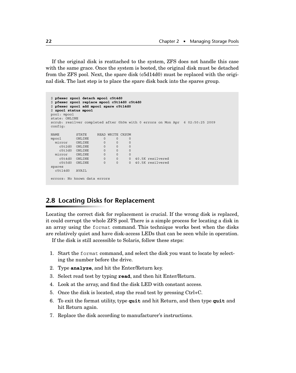If the original disk is reattached to the system, ZFS does not handle this case with the same grace. Once the system is booted, the original disk must be detached from the ZFS pool. Next, the spare disk (c5d14d0) must be replaced with the original disk. The last step is to place the spare disk back into the spares group.

```
$ pfexec zpool detach mpool c5t4d0
$ pfexec zpool replace mpool c5t14d0 c5t4d0
$ pfexec zpool add mpool spare c5t14d0
$ zpool status mpool
pool: mpool
state: ONLINE
scrub: resilver completed after 0h0m with 0 errors on Mon Apr 6 02:50:25 2009
config:
NAME STATE READ WRITE CKSUM
mpool ONLINE 0 0 0
mirror ONLINE 0 0 0
 c5t2d0 ONLINE 0 0 0
   c5t2d0 ONLINE 0 0 0<br>
c5t3d0 ONLINE 0 0 0<br>
irror ONLINE 0 0 0
  mirror ONLINE 0 0 0
    c5t4d0 ONLINE 0 0 0 40.5K resilvered
                               0 40.5K resilvered
spares
  c5t14d0 AVAIL
errors: No known data errors
```
# **2.8 Locating Disks for Replacement**

Locating the correct disk for replacement is crucial. If the wrong disk is replaced, it could corrupt the whole ZFS pool. There is a simple process for locating a disk in an array using the format command. This technique works best when the disks are relatively quiet and have disk-access LEDs that can be seen while in operation.

If the disk is still accessible to Solaris, follow these steps:

- 1. Start the format command, and select the disk you want to locate by selecting the number before the drive.
- 2. Type **analyze**, and hit the Enter/Return key.
- 3. Select read test by typing **read**, and then hit Enter/Return.
- 4. Look at the array, and find the disk LED with constant access.
- 5. Once the disk is located, stop the read test by pressing Ctrl+C.
- 6. To exit the format utility, type **quit** and hit Return, and then type **quit** and hit Return again.
- 7. Replace the disk according to manufacturer's instructions.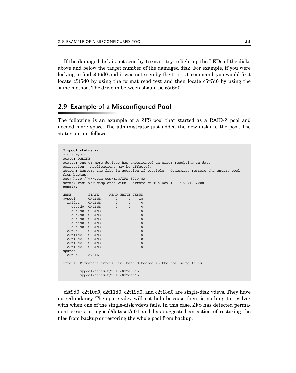If the damaged disk is not seen by format, try to light up the LEDs of the disks above and below the target number of the damaged disk. For example, if you were looking to find c5t6d0 and it was not seen by the format command, you would first locate c5t5d0 by using the format read test and then locate c5t7d0 by using the same method. The drive in between should be c5t6d0.

## **2.9 Example of a Misconfigured Pool**

The following is an example of a ZFS pool that started as a RAID-Z pool and needed more space. The administrator just added the new disks to the pool. The status output follows.

```
$ zpool status -v
pool: mypool
state: ONLINE
status: One or more devices has experienced an error resulting in data
corruption. Applications may be affected.
action: Restore the file in question if possible. Otherwise restore the entire pool 
from backup.
see: http://www.sun.com/msg/ZFS-8000-8A
scrub: resilver completed with 0 errors on Tue Nov 18 17:05:10 2008
config:
NAME STATE READ WRITE CKSUM<br>mypool ONLINE 0 0 18
                   \begin{matrix}0&&0&18\0&&0&0\end{matrix}raidz1 ONLINE 0 0 0<br>c2t0d0 ONLINE 0 0 0<br>c2t1d0 ONLINE 0 0 0
 c2t0d0 ONLINE 0 0 0
 c2t1d0 ONLINE 0 0 0
    c2t2d0 ONLINE 0 0 0
    c2t3d0 ONLINE 0 0 0
   c2t4d0 ONLINE 0 0 0
    c2t5d0 ONLINE 0 0 0
  c2t9d0 ONLINE 0 0 0
  c2t11d0 ONLINE 0 0 0
  c2t12d0 ONLINE 0 0 18
  c2t10d0 ONLINE 0 0 0
  c2t13d0 ONLINE 0 0 0
spares
  c2t8d0 AVAIL
errors: Permanent errors have been detected in the following files:
        mypool/dataset/u01:<0x2a07a>
        mypool/dataset/u01:<0x2da66>
```
c2t9d0, c2t10d0, c2t11d0, c2t12d0, and c2t13d0 are single-disk vdevs. They have no redundancy. The spare vdev will not help because there is nothing to resilver with when one of the single-disk vdevs fails. In this case, ZFS has detected permanent errors in mypool/dataset/u01 and has suggested an action of restoring the files from backup or restoring the whole pool from backup.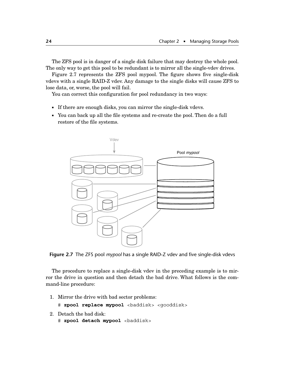The ZFS pool is in danger of a single disk failure that may destroy the whole pool. The only way to get this pool to be redundant is to mirror all the single-vdev drives.

Figure 2.7 represents the ZFS pool mypool. The figure shows five single-disk vdevs with a single RAID-Z vdev. Any damage to the single disks will cause ZFS to lose data, or, worse, the pool will fail.

You can correct this configuration for pool redundancy in two ways:

- If there are enough disks, you can mirror the single-disk vdevs.
- You can back up all the file systems and re-create the pool. Then do a full restore of the file systems.



**Figure 2.7** The ZFS pool *mypool* has a single RAID-Z vdev and five single-disk vdevs

The procedure to replace a single-disk vdev in the preceding example is to mirror the drive in question and then detach the bad drive. What follows is the command-line procedure:

1. Mirror the drive with bad sector problems:

# **zpool replace mypool** <baddisk> <gooddisk>

- 2. Detach the bad disk:
	- # **zpool detach mypool** <baddisk>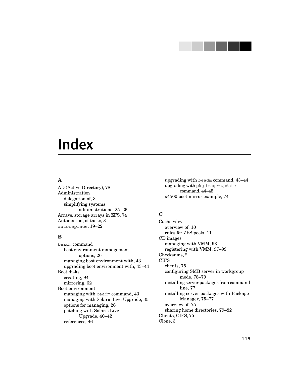# **Index**

## **A**

AD (Active Directory), 78 Administration delegation of, 3 simplifying systems administrations, 25–26 Arrays, storage arrays in ZFS, 74 Automation, of tasks, 3 autoreplace, 19–22

## **B**

beadm command boot environment management options, 26 managing boot environment with, 43 upgrading boot environment with, 43–44 Boot disks creating, 94 mirroring, 62 Boot environment managing with beadm command, 43 managing with Solaris Live Upgrade, 35 options for managing, 26 patching with Solaris Live Upgrade, 40–42 references, 46

upgrading with beadm command, 43–44 upgrading with pkg image-update command, 44–45 x4500 boot mirror example, 74

## **C**

Cache vdev overview of, 10 rules for ZFS pools, 11 CD images managing with VMM, 93 registering with VMM, 97–99 Checksums, 2 **CIFS** clients, 75 configuring SMB server in workgroup mode, 78–79 installing server packages from command line, 77 installing server packages with Package Manager, 75–77 overview of, 75 sharing home directories, 79–82 Clients, CIFS, 75 Clone, 3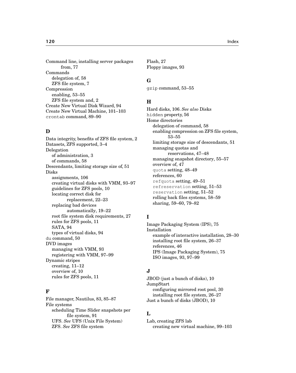Command line, installing server packages from, 77 Commands delegation of, 58 ZFS file system, 7 Compression enabling, 53–55 ZFS file system and, 2 Create New Virtual Disk Wizard, 94 Create New Virtual Machine, 101–103 crontab command, 89–90

#### **D**

Data integrity, benefits of ZFS file system, 2 Datasets, ZFS supported, 3–4 Delegation of administration, 3 of commands, 58 Descendants, limiting storage size of, 51 Disks assignments, 106 creating virtual disks with VMM, 93–97 guidelines for ZFS pools, 10 locating correct disk for replacement, 22–23 replacing bad devices automatically, 19–22 root file system disk requirements, 27 rules for ZFS pools, 11 SATA, 94 types of virtual disks, 94 du command, 50 DVD images managing with VMM, 93 registering with VMM, 97–99 Dynamic stripes creating, 11–12 overview of, 10 rules for ZFS pools, 11

### **F**

File manager, Nautilus, 83, 85–87 File systems scheduling Time Slider snapshots per file system, 91 UFS. *See* UFS (Unix File System) ZFS. *See* ZFS file system

Flash, 27 Floppy images, 93

#### **G**

gzip command, 53–55

#### **H**

Hard disks, 106. *See also* Disks hidden property, 56 Home directories delegation of command, 58 enabling compression on ZFS file system, 53–55 limiting storage size of descendants, 51 managing quotas and reservations, 47–48 managing snapshot directory, 55–57 overview of, 47 quota setting, 48–49 references, 60 refquota setting, 49–51 refreservation setting, 51–53 reservation setting, 51–52 rolling back files systems, 58–59 sharing, 59–60, 79–82

### **I**

Image Packaging System (IPS), 75 Installation example of interactive installation, 28–30 installing root file system, 26–37 references, 46 IPS (Image Packaging System), 75 ISO images, 93, 97–99

### **J**

JBOD (just a bunch of disks), 10 JumpStart configuring mirrored root pool, 30 installing root file system, 26–27 Just a bunch of disks (JBOD), 10

### **L**

Lab, creating ZFS lab creating new virtual machine, 99–103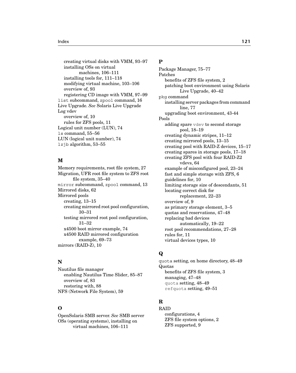creating virtual disks with VMM, 93–97 installing OSs on virtual machines, 106–111 installing tools for, 111–118 modifying virtual machine, 103–106 overview of, 93 registering CD image with VMM, 97–99 list subcommand, zpool command, 16 Live Upgrade. *See* Solaris Live Upgrade Log vdev overview of, 10 rules for ZFS pools, 11 Logical unit number (LUN), 74 ls command, 55–56 LUN (logical unit number), 74 lzjb algorithm, 53–55

## **M**

Memory requirements, root file system, 27 Migration, UFR root file system to ZFS root file system, 35–40 mirror subcommand, zpool command, 13 Mirrored disks, 62 Mirrored pools creating, 13–15 creating mirrored root pool configuration, 30–31 testing mirrored root pool configuration, 31–32 x4500 boot mirror example, 74 x4500 RAID mirrored configuration example, 69–73 mirrors (RAID-Z), 10

### **N**

Nautilus file manager enabling Nautilus Time Slider, 85–87 overview of, 83 restoring with, 88 NFS (Network File System), 59

## **O**

OpenSolaris SMB server. *See* SMB server OSs (operating systems), installing on virtual machines, 106–111

### **P**

Package Manager, 75–77 Patches benefits of ZFS file system, 2 patching boot environment using Solaris Live Upgrade, 40–42 pkg command installing server packages from command line, 77 upgrading boot environment, 43-44 Pools adding spare vdev to second storage pool, 18–19 creating dynamic stripes, 11–12 creating mirrored pools, 13–15 creating pool with RAID-Z devices, 15–17 creating spares in storage pools, 17–18 creating ZFS pool with four RAID-Z2 vdevs, 64 example of misconfigured pool, 23–24 fast and simple storage with ZFS, 6 guidelines for, 10 limiting storage size of descendants, 51 locating correct disk for replacement, 22–23 overview of, 9 as primary storage element, 3–5 quotas and reservations, 47–48 replacing bad devices automatically, 19–22 root pool recommendations, 27–28 rules for, 11 virtual devices types, 10

## **Q**

quota setting, on home directory, 48–49 Quotas benefits of ZFS file system, 3 managing, 47–48 quota setting, 48–49 refquota setting, 49–51

## **R**

RAID configurations, 4 ZFS file system options, 2 ZFS supported, 9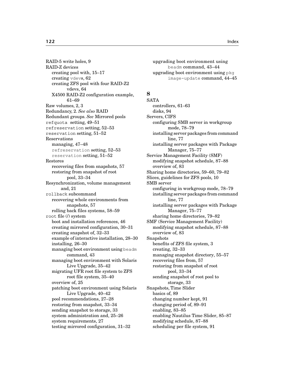RAID-5 write holes, 9 RAID-Z devices creating pool with, 15–17 creating vdevs, 62 creating ZFS pool with four RAID-Z2 vdevs, 64 X4500 RAID-Z2 configuration example, 61–69 Raw volumes, 2, 3 Redundancy, 2. *See also* RAID Redundant groups. *See* Mirrored pools refquota setting, 49–51 refreservation setting, 52–53 reservation setting, 51–52 Reservations managing, 47–48 refreservation setting, 52–53 reservation setting, 51–52 Restores recovering files from snapshots, 57 restoring from snapshot of root pool, 33–34 Resynchronization, volume management and, 21 rollback subcommand recovering whole environments from snapshots, 57 rolling back files systems, 58–59 root file (/) system boot and installation references, 46 creating mirrored configuration, 30–31 creating snapshot of, 32–33 example of interactive installation, 28–30 installing, 26–30 managing boot environment using beadm command, 43 managing boot environment with Solaris Live Upgrade, 35–42 migrating UFR root file system to ZFS root file system, 35–40 overview of, 25 patching boot environment using Solaris Live Upgrade, 40–42 pool recommendations, 27–28 restoring from snapshot, 33–34 sending snapshot to storage, 33 system administration and, 25–26 system requirements, 27 testing mirrored configuration, 31–32

upgrading boot environment using beadm command, 43–44 upgrading boot environment using pkg image-update command, 44–45

## **S**

**SATA** controllers, 61–63 disks, 94 Servers, CIFS configuring SMB server in workgroup mode, 78–79 installing server packages from command line, 77 installing server packages with Package Manager, 75–77 Service Management Facility (SMF) modifying snapshot schedule, 87–88 overview of, 83 Sharing home directories, 59–60, 79–82 Slices, guidelines for ZFS pools, 10 SMB server configuring in workgroup mode, 78–79 installing server packages from command line, 77 installing server packages with Package Manager, 75–77 sharing home directories, 79–82 SMF (Service Management Facility) modifying snapshot schedule, 87–88 overview of, 83 Snapshots benefits of ZFS file system, 3 creating, 32–33 managing snapshot directory, 55–57 recovering files from, 57 restoring from snapshot of root pool, 33–34 sending snapshot of root pool to storage, 33 Snapshots, Time Slider basics of, 89 changing number kept, 91 changing period of, 89–91 enabling, 83–85 enabling Nautilus Time Slider, 85–87 modifying schedule, 87–88 scheduling per file system, 91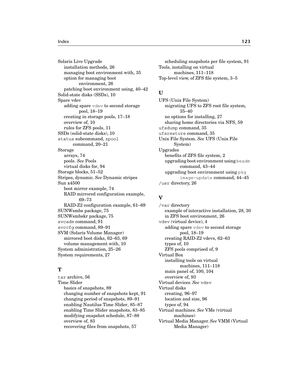Solaris Live Upgrade installation methods, 26 managing boot environment with, 35 option for managing boot environment, 26 patching boot environment using, 40–42 Solid-state disks (SSDs), 10 Spare vdev adding spare vdev to second storage pool, 18–19 creating in storage pools, 17–18 overview of, 10 rules for ZFS pools, 11 SSDs (solid-state disks), 10 status subcommand, zpool command, 20–21 Storage arrays, 74 pools. *See* Pools virtual disks for, 94 Storage blocks, 51–52 Stripes, dynamic. *See* Dynamic stripes Sun x4500 boot mirror example, 74 RAID mirrored configuration example, 69–73 RAID-Z2 configuration example, 61–69 SUNWsmbs package, 75 SUNWsmbskr package, 75 svcadm command, 91 svccfg command, 89–91 SVM (Solaris Volume Manager) mirrored boot disks, 62–63, 69 volume management with, 10 System administration, 25–26 System requirements, 27

### **T**

tar archive, 56 Time Slider basics of snapshots, 89 changing number of snapshots kept, 91 changing period of snapshots, 89–91 enabling Nautilus Time Slider, 85–87 enabling Time Slider snapshots, 83–85 modifying snapshot schedule, 87–88 overview of, 83 recovering files from snapshots, 57

scheduling snapshots per file system, 91 Tools, installing on virtual machines, 111–118 Top-level view, of ZFS file system, 3–5

## **U**

UFS (Unix File System) migrating UFS to ZFS root file system, 35–40 no options for installing, 27 sharing home directories via NFS, 59 ufsdump command, 35 ufsrestore command, 35 Unix File System. *See* UFS (Unix File System) Upgrades benefits of ZFS file system, 2 upgrading boot environment using beadm command, 43–44 upgrading boot environment using pkg image-update command, 44–45 /usr directory, 26

## **V**

/var directory example of interactive installation, 28, 30 in ZFS boot environment, 26 vdev (virtual device), 4 adding spare vdev to second storage pool, 18–19 creating RAID-Z2 vdevs, 62–63 types of, 10 ZFS pools comprised of, 9 Virtual Box installing tools on virtual machines, 111–118 main panel of, 100, 104 overview of, 93 Virtual devices. *See* vdev Virtual disks creating, 96–97 location and size, 96 types of, 94 Virtual machines. *See* VMs (virtual machines) Virtual Media Manager. *See* VMM (Virtual Media Manager)